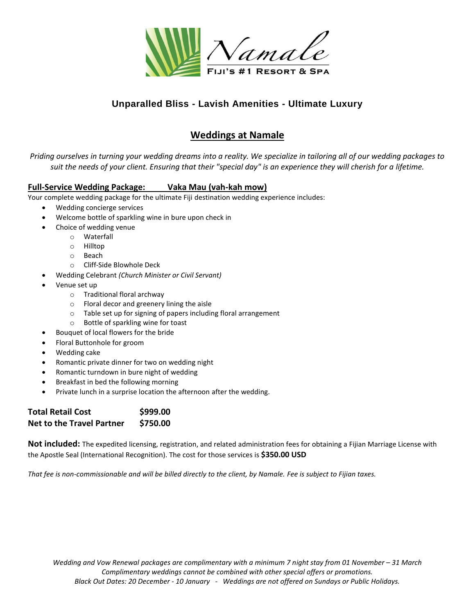

## **Unparalled Bliss - Lavish Amenities - Ultimate Luxury**

# **Weddings at Namale**

*Priding ourselves in turning your wedding dreams into a reality. We specialize in tailoring all of our wedding packages to suit the needs of your client. Ensuring that their "special day" is an experience they will cherish for a lifetime.*

### **Full-Service Wedding Package: Vaka Mau (vah-kah mow)**

Your complete wedding package for the ultimate Fiji destination wedding experience includes:

- Wedding concierge services
- Welcome bottle of sparkling wine in bure upon check in
	- Choice of wedding venue
		- o Waterfall
		- o Hilltop
		- o Beach
		- o Cliff-Side Blowhole Deck
- Wedding Celebrant *(Church Minister or Civil Servant)*
- Venue set up
	- o Traditional floral archway
	- o Floral decor and greenery lining the aisle
	- o Table set up for signing of papers including floral arrangement
	- o Bottle of sparkling wine for toast
- Bouquet of local flowers for the bride
- Floral Buttonhole for groom
- Wedding cake
- Romantic private dinner for two on wedding night
- Romantic turndown in bure night of wedding
- Breakfast in bed the following morning
- Private lunch in a surprise location the afternoon after the wedding.

| <b>Total Retail Cost</b>         | \$999.00 |
|----------------------------------|----------|
| <b>Net to the Travel Partner</b> | \$750.00 |

**Not included:** The expedited licensing, registration, and related administration fees for obtaining a Fijian Marriage License with the Apostle Seal (International Recognition). The cost for those services is **\$350.00 USD**

*That fee is non-commissionable and will be billed directly to the client, by Namale. Fee is subject to Fijian taxes.*